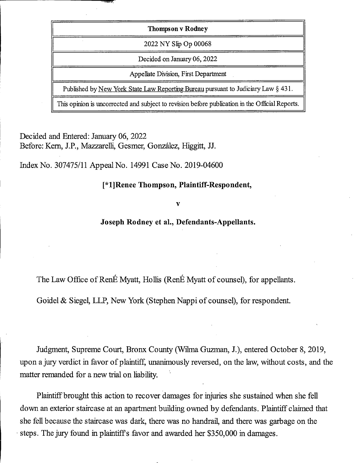| <b>Thompson v Rodney</b>                                                                        |
|-------------------------------------------------------------------------------------------------|
| 2022 NY Slip Op 00068                                                                           |
| Decided on January 06, 2022                                                                     |
| Appellate Division, First Department                                                            |
| Published by New York State Law Reporting Bureau pursuant to Judiciary Law § 431.               |
| This opinion is uncorrected and subject to revision before publication in the Official Reports. |

Decided and Entered: January 06, 2022 Before: Kern, J.P., Mazzarelli, Gesmer, Gonzalez, Higgitt, JJ.

Index No. 307475/11 Appeal No. 14991 Case No. 2019-04600

## [\*l]Renee Thompson, Plaintiff-Respondent,

v

Joseph Rodney et al., Defendants-Appellants.

The Law Office of RenÉ Myatt, Hollis (RenÉ Myatt of counsel), for appellants.

Goidel & Siegel, LLP, New York (Stephen Nappi of counsel), for respondent.

Judgment, Supreme Court, Bronx County (Wilma Guzman, J.), entered October 8, 2019, upon a jury verdict in favor of plaintiff, unanimously reversed, on the law, without costs, and the matter remanded for a new trial on liability.

Plaintiff brought this action to recover damages for injuries she sustained when she fell down an exterior staircase at an apartment building owned by defendants. Plaintiff claimed that she fell because the staircase was dark, there was no handrail, and there was garbage on the steps. The jury found in plaintiffs favor and awarded her \$350,000 in damages.